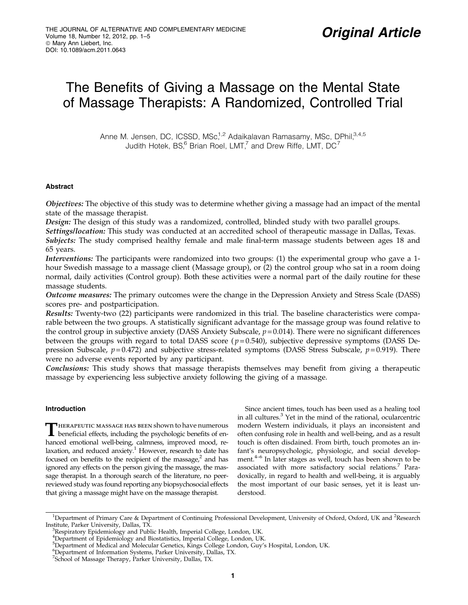# The Benefits of Giving a Massage on the Mental State of Massage Therapists: A Randomized, Controlled Trial

Anne M. Jensen, DC, ICSSD, MSc,<sup>1,2</sup> Adaikalavan Ramasamy, MSc, DPhil,<sup>3,4,5</sup> Judith Hotek,  $BS_i^6$  Brian Roel, LMT,<sup>7</sup> and Drew Riffe, LMT, DC<sup>7</sup>

# Abstract

Objectives: The objective of this study was to determine whether giving a massage had an impact of the mental state of the massage therapist.

Design: The design of this study was a randomized, controlled, blinded study with two parallel groups.

Settings/location: This study was conducted at an accredited school of therapeutic massage in Dallas, Texas.

Subjects: The study comprised healthy female and male final-term massage students between ages 18 and 65 years.

Interventions: The participants were randomized into two groups: (1) the experimental group who gave a 1hour Swedish massage to a massage client (Massage group), or (2) the control group who sat in a room doing normal, daily activities (Control group). Both these activities were a normal part of the daily routine for these massage students.

Outcome measures: The primary outcomes were the change in the Depression Anxiety and Stress Scale (DASS) scores pre- and postparticipation.

Results: Twenty-two (22) participants were randomized in this trial. The baseline characteristics were comparable between the two groups. A statistically significant advantage for the massage group was found relative to the control group in subjective anxiety (DASS Anxiety Subscale,  $p = 0.014$ ). There were no significant differences between the groups with regard to total DASS score ( $p=0.540$ ), subjective depressive symptoms (DASS Depression Subscale,  $p=0.472$ ) and subjective stress-related symptoms (DASS Stress Subscale,  $p=0.919$ ). There were no adverse events reported by any participant.

Conclusions: This study shows that massage therapists themselves may benefit from giving a therapeutic massage by experiencing less subjective anxiety following the giving of a massage.

# Introduction

THERAPEUTIC MASSAGE HAS BEEN shown to have numerous<br>beneficial effects, including the psychologic benefits of enhanced emotional well-being, calmness, improved mood, relaxation, and reduced anxiety. $1$  However, research to date has focused on benefits to the recipient of the massage,<sup>2</sup> and has ignored any effects on the person giving the massage, the massage therapist. In a thorough search of the literature, no peerreviewed study was found reporting any biopsychosocial effects that giving a massage might have on the massage therapist.

Since ancient times, touch has been used as a healing tool in all cultures. $3$  Yet in the mind of the rational, ocularcentric modern Western individuals, it plays an inconsistent and often confusing role in health and well-being, and as a result touch is often disdained. From birth, touch promotes an infant's neuropsychologic, physiologic, and social development.<sup>4–6</sup> In later stages as well, touch has been shown to be associated with more satisfactory social relations.<sup>7</sup> Paradoxically, in regard to health and well-being, it is arguably the most important of our basic senses, yet it is least understood.

<sup>&</sup>lt;sup>1</sup>Department of Primary Care & Department of Continuing Professional Development, University of Oxford, Oxford, UK and <sup>2</sup>Research Institute, Parker University, Dallas, TX. <sup>3</sup>

Respiratory Epidemiology and Public Health, Imperial College, London, UK.

<sup>&</sup>lt;sup>4</sup>Department of Epidemiology and Biostatistics, Imperial College, London, UK.

<sup>5</sup> Department of Medical and Molecular Genetics, Kings College London, Guy's Hospital, London, UK.

<sup>6</sup> Department of Information Systems, Parker University, Dallas, TX.

<sup>7</sup> School of Massage Therapy, Parker University, Dallas, TX.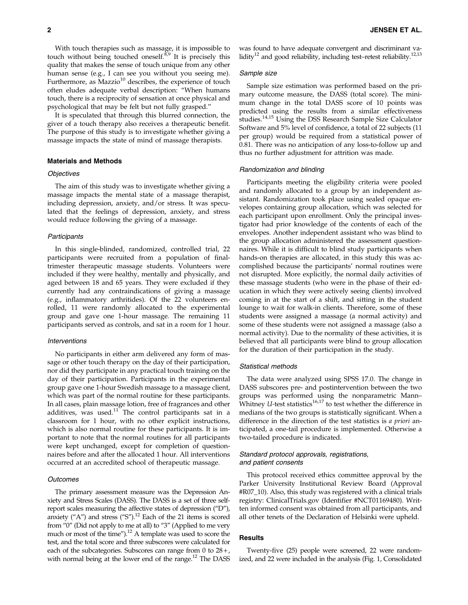With touch therapies such as massage, it is impossible to touch without being touched oneself. $8.9$  It is precisely this quality that makes the sense of touch unique from any other human sense (e.g., I can see you without you seeing me). Furthermore, as  $Maxzio<sup>10</sup>$  describes, the experience of touch often eludes adequate verbal description: ''When humans touch, there is a reciprocity of sensation at once physical and psychological that may be felt but not fully grasped.''

It is speculated that through this blurred connection, the giver of a touch therapy also receives a therapeutic benefit. The purpose of this study is to investigate whether giving a massage impacts the state of mind of massage therapists.

#### Materials and Methods

# **Objectives**

The aim of this study was to investigate whether giving a massage impacts the mental state of a massage therapist, including depression, anxiety, and/or stress. It was speculated that the feelings of depression, anxiety, and stress would reduce following the giving of a massage.

#### **Participants**

In this single-blinded, randomized, controlled trial, 22 participants were recruited from a population of finaltrimester therapeutic massage students. Volunteers were included if they were healthy, mentally and physically, and aged between 18 and 65 years. They were excluded if they currently had any contraindications of giving a massage (e.g., inflammatory arthritides). Of the 22 volunteers enrolled, 11 were randomly allocated to the experimental group and gave one 1-hour massage. The remaining 11 participants served as controls, and sat in a room for 1 hour.

#### Interventions

No participants in either arm delivered any form of massage or other touch therapy on the day of their participation, nor did they participate in any practical touch training on the day of their participation. Participants in the experimental group gave one 1-hour Swedish massage to a massage client, which was part of the normal routine for these participants. In all cases, plain massage lotion, free of fragrances and other additives, was used. $11$  The control participants sat in a classroom for 1 hour, with no other explicit instructions, which is also normal routine for these participants. It is important to note that the normal routines for all participants were kept unchanged, except for completion of questionnaires before and after the allocated 1 hour. All interventions occurred at an accredited school of therapeutic massage.

#### **Outcomes**

The primary assessment measure was the Depression Anxiety and Stress Scales (DASS). The DASS is a set of three selfreport scales measuring the affective states of depression (''D''), anxiety ( $'A''$ ) and stress ( $''S''$ ).<sup>12</sup> Each of the 21 items is scored from "0" (Did not apply to me at all) to "3" (Applied to me very much or most of the time'').12 A template was used to score the test, and the total score and three subscores were calculated for each of the subcategories. Subscores can range from 0 to  $28 +$ , with normal being at the lower end of the range.<sup>12</sup> The DASS was found to have adequate convergent and discriminant validity<sup>12</sup> and good reliability, including test–retest reliability.<sup>12,13</sup>

#### Sample size

Sample size estimation was performed based on the primary outcome measure, the DASS (total score). The minimum change in the total DASS score of 10 points was predicted using the results from a similar effectiveness studies.<sup>14,15</sup> Using the DSS Research Sample Size Calculator Software and 5% level of confidence, a total of 22 subjects (11 per group) would be required from a statistical power of 0.81. There was no anticipation of any loss-to-follow up and thus no further adjustment for attrition was made.

#### Randomization and blinding

Participants meeting the eligibility criteria were pooled and randomly allocated to a group by an independent assistant. Randomization took place using sealed opaque envelopes containing group allocation, which was selected for each participant upon enrollment. Only the principal investigator had prior knowledge of the contents of each of the envelopes. Another independent assistant who was blind to the group allocation administered the assessment questionnaires. While it is difficult to blind study participants when hands-on therapies are allocated, in this study this was accomplished because the participants' normal routines were not disrupted. More explicitly, the normal daily activities of these massage students (who were in the phase of their education in which they were actively seeing clients) involved coming in at the start of a shift, and sitting in the student lounge to wait for walk-in clients. Therefore, some of these students were assigned a massage (a normal activity) and some of these students were not assigned a massage (also a normal activity). Due to the normality of these activities, it is believed that all participants were blind to group allocation for the duration of their participation in the study.

#### Statistical methods

The data were analyzed using SPSS 17.0. The change in DASS subscores pre- and postintervention between the two groups was performed using the nonparametric Mann– Whitney  $U$ -test statistics<sup>16,17</sup> to test whether the difference in medians of the two groups is statistically significant. When a difference in the direction of the test statistics is a priori anticipated, a one-tail procedure is implemented. Otherwise a two-tailed procedure is indicated.

# Standard protocol approvals, registrations, and patient consents

This protocol received ethics committee approval by the Parker University Institutional Review Board (Approval #R07\_10). Also, this study was registered with a clinical trials registry: ClinicalTrials.gov (Identifier #NCT01169480). Written informed consent was obtained from all participants, and all other tenets of the Declaration of Helsinki were upheld.

# **Results**

Twenty-five (25) people were screened, 22 were randomized, and 22 were included in the analysis (Fig. 1, Consolidated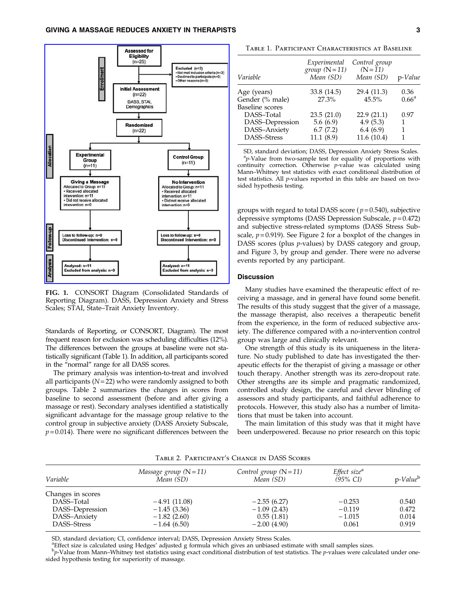

FIG. 1. CONSORT Diagram (Consolidated Standards of Reporting Diagram). DASS, Depression Anxiety and Stress Scales; STAI, State–Trait Anxiety Inventory.

Standards of Reporting, or CONSORT, Diagram). The most frequent reason for exclusion was scheduling difficulties (12%). The differences between the groups at baseline were not statistically significant (Table 1). In addition, all participants scored in the ''normal'' range for all DASS scores.

The primary analysis was intention-to-treat and involved all participants  $(N = 22)$  who were randomly assigned to both groups. Table 2 summarizes the changes in scores from baseline to second assessment (before and after giving a massage or rest). Secondary analyses identified a statistically significant advantage for the massage group relative to the control group in subjective anxiety (DASS Anxiety Subscale,  $p = 0.014$ ). There were no significant differences between the

Table 1. Participant Characteristics at Baseline

| Variable        | Experimental<br>group $(N=11)$<br>Mean (SD) | Control group<br>$(N = 11)$<br>Mean (SD) | p-Value        |
|-----------------|---------------------------------------------|------------------------------------------|----------------|
| Age (years)     | 33.8 (14.5)                                 | 29.4 (11.3)                              | 0.36           |
| Gender (% male) | 27.3%                                       | $45.5\%$                                 | $0.66^{\rm a}$ |
| Baseline scores |                                             |                                          |                |
| DASS-Total      | 23.5(21.0)                                  | 22.9(21.1)                               | 0.97           |
| DASS-Depression | 5.6(6.9)                                    | 4.9(5.3)                                 | 1              |
| DASS-Anxiety    | 6.7(7.2)                                    | 6.4(6.9)                                 | 1              |
| DASS-Stress     | 11.1(8.9)                                   | 11.6(10.4)                               | 1              |

SD, standard deviation; DASS, Depression Anxiety Stress Scales. <sup>a</sup>p-Value from two-sample test for equality of proportions with continuity correction. Otherwise p-value was calculated using Mann–Whitney test statistics with exact conditional distribution of test statistics. All p-values reported in this table are based on twosided hypothesis testing.

groups with regard to total DASS score ( $p = 0.540$ ), subjective depressive symptoms (DASS Depression Subscale,  $p = 0.472$ ) and subjective stress-related symptoms (DASS Stress Subscale,  $p = 0.919$ ). See Figure 2 for a boxplot of the changes in DASS scores (plus p-values) by DASS category and group, and Figure 3, by group and gender. There were no adverse events reported by any participant.

# Discussion

Many studies have examined the therapeutic effect of receiving a massage, and in general have found some benefit. The results of this study suggest that the giver of a massage, the massage therapist, also receives a therapeutic benefit from the experience, in the form of reduced subjective anxiety. The difference compared with a no-intervention control group was large and clinically relevant.

One strength of this study is its uniqueness in the literature. No study published to date has investigated the therapeutic effects for the therapist of giving a massage or other touch therapy. Another strength was its zero-dropout rate. Other strengths are its simple and pragmatic randomized, controlled study design, the careful and clever blinding of assessors and study participants, and faithful adherence to protocols. However, this study also has a number of limitations that must be taken into account.

The main limitation of this study was that it might have been underpowered. Because no prior research on this topic

| 1800 - 1801 - 1801 - 1801 - 1801 - 1802 - 1803 - 1804 - 1805 - 1806 - 1807 - 1808 - 1808 - 1808 - 1808 - 180 |                                     |                                     |                                                   |          |  |  |
|--------------------------------------------------------------------------------------------------------------|-------------------------------------|-------------------------------------|---------------------------------------------------|----------|--|--|
| Variable                                                                                                     | Massage group $(N=11)$<br>Mean (SD) | Control group $(N=11)$<br>Mean (SD) | Effect size <sup>a</sup><br>$(95\% \; \text{CI})$ | p-Valueb |  |  |
| Changes in scores                                                                                            |                                     |                                     |                                                   |          |  |  |
| DASS-Total                                                                                                   | $-4.91(11.08)$                      | $-2.55(6.27)$                       | $-0.253$                                          | 0.540    |  |  |
| DASS-Depression                                                                                              | $-1.45(3.36)$                       | $-1.09(2.43)$                       | $-0.119$                                          | 0.472    |  |  |
| DASS-Anxiety                                                                                                 | $-1.82(2.60)$                       | 0.55(1.81)                          | $-1.015$                                          | 0.014    |  |  |
| DASS-Stress                                                                                                  | $-1.64(6.50)$                       | $-2.00(4.90)$                       | 0.061                                             | 0.919    |  |  |

Table 2. Participant's Change in DASS Scores

SD, standard deviation; CI, confidence interval; DASS, Depression Anxiety Stress Scales.

a Effect size is calculated using Hedges' adjusted g formula which gives an unbiased estimate with small samples sizes.

 $^{\text{b}}$ p-Value from Mann–Whitney test statistics using exact conditional distribution of test statistics. The p-values were calculated under onesided hypothesis testing for superiority of massage.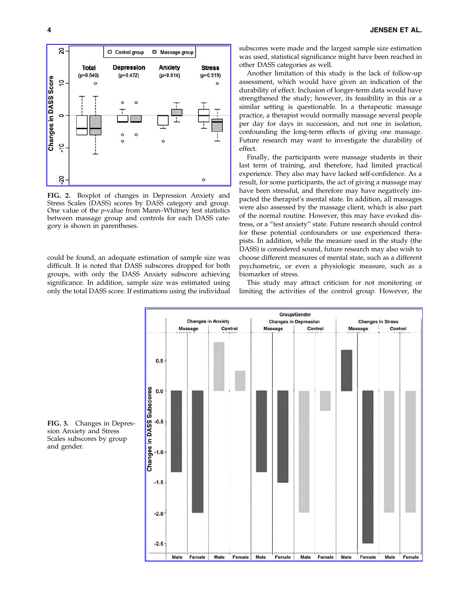

FIG. 2. Boxplot of changes in Depression Anxiety and Stress Scales (DASS) scores by DASS category and group. One value of the  $p$ -value from Mann–Whitney test statistics between massage group and controls for each DASS category is shown in parentheses.

could be found, an adequate estimation of sample size was difficult. It is noted that DASS subscores dropped for both groups, with only the DASS Anxiety subscore achieving significance. In addition, sample size was estimated using only the total DASS score. If estimations using the individual subscores were made and the largest sample size estimation was used, statistical significance might have been reached in other DASS categories as well.

Another limitation of this study is the lack of follow-up assessment, which would have given an indication of the durability of effect. Inclusion of longer-term data would have strengthened the study; however, its feasibility in this or a similar setting is questionable. In a therapeutic massage practice, a therapist would normally massage several people per day for days in succession, and not one in isolation, confounding the long-term effects of giving one massage. Future research may want to investigate the durability of effect.

Finally, the participants were massage students in their last term of training, and therefore, had limited practical experience. They also may have lacked self-confidence. As a result, for some participants, the act of giving a massage may have been stressful, and therefore may have negatively impacted the therapist's mental state. In addition, all massages were also assessed by the massage client, which is also part of the normal routine. However, this may have evoked distress, or a ''test anxiety'' state. Future research should control for these potential confounders or use experienced therapists. In addition, while the measure used in the study (the DASS) is considered sound, future research may also wish to choose different measures of mental state, such as a different psychometric, or even a physiologic measure, such as a biomarker of stress.

This study may attract criticism for not monitoring or limiting the activities of the control group. However, the



FIG. 3. Changes in Depression Anxiety and Stress Scales subscores by group and gender.